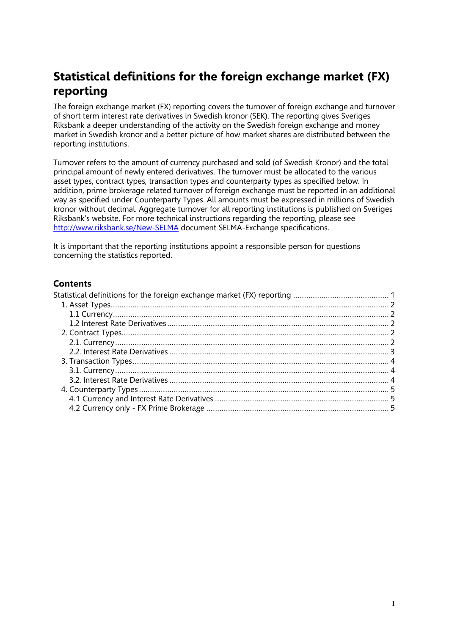# <span id="page-0-0"></span>**Statistical definitions for the foreign exchange market (FX) reporting**

The foreign exchange market (FX) reporting covers the turnover of foreign exchange and turnover of short term interest rate derivatives in Swedish kronor (SEK). The reporting gives Sveriges Riksbank a deeper understanding of the activity on the Swedish foreign exchange and money market in Swedish kronor and a better picture of how market shares are distributed between the reporting institutions.

Turnover refers to the amount of currency purchased and sold (of Swedish Kronor) and the total principal amount of newly entered derivatives. The turnover must be allocated to the various asset types, contract types, transaction types and counterparty types as specified below. In addition, prime brokerage related turnover of foreign exchange must be reported in an additional way as specified under Counterparty Types. All amounts must be expressed in millions of Swedish kronor without decimal. Aggregate turnover for all reporting institutions is published on Sveriges Riksbank's website. For more technical instructions regarding the reporting, please see <http://www.riksbank.se/New-SELMA> document SELMA-Exchange specifications.

It is important that the reporting institutions appoint a responsible person for questions concerning the statistics reported.

# **Contents**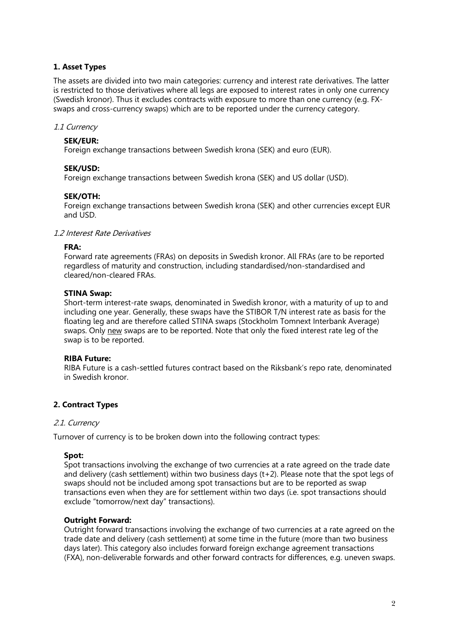### <span id="page-1-0"></span>**1. Asset Types**

The assets are divided into two main categories: currency and interest rate derivatives. The latter is restricted to those derivatives where all legs are exposed to interest rates in only one currency (Swedish kronor). Thus it excludes contracts with exposure to more than one currency (e.g. FXswaps and cross-currency swaps) which are to be reported under the currency category.

### <span id="page-1-1"></span>1.1 Currency

### **SEK/EUR:**

Foreign exchange transactions between Swedish krona (SEK) and euro (EUR).

### **SEK/USD:**

Foreign exchange transactions between Swedish krona (SEK) and US dollar (USD).

### **SEK/OTH:**

Foreign exchange transactions between Swedish krona (SEK) and other currencies except EUR and USD.

### <span id="page-1-2"></span>1.2 Interest Rate Derivatives

### **FRA:**

Forward rate agreements (FRAs) on deposits in Swedish kronor. All FRAs (are to be reported regardless of maturity and construction, including standardised/non-standardised and cleared/non-cleared FRAs.

### **STINA Swap:**

Short-term interest-rate swaps, denominated in Swedish kronor, with a maturity of up to and including one year. Generally, these swaps have the STIBOR T/N interest rate as basis for the floating leg and are therefore called STINA swaps (Stockholm Tomnext Interbank Average) swaps. Only new swaps are to be reported. Note that only the fixed interest rate leg of the swap is to be reported.

### **RIBA Future:**

RIBA Future is a cash-settled futures contract based on the Riksbank's repo rate, denominated in Swedish kronor.

### <span id="page-1-3"></span>**2. Contract Types**

### <span id="page-1-4"></span>2.1. Currency

Turnover of currency is to be broken down into the following contract types:

### **Spot:**

Spot transactions involving the exchange of two currencies at a rate agreed on the trade date and delivery (cash settlement) within two business days (t+2). Please note that the spot legs of swaps should not be included among spot transactions but are to be reported as swap transactions even when they are for settlement within two days (i.e. spot transactions should exclude "tomorrow/next day" transactions).

### **Outright Forward:**

Outright forward transactions involving the exchange of two currencies at a rate agreed on the trade date and delivery (cash settlement) at some time in the future (more than two business days later). This category also includes forward foreign exchange agreement transactions (FXA), non-deliverable forwards and other forward contracts for differences, e.g. uneven swaps.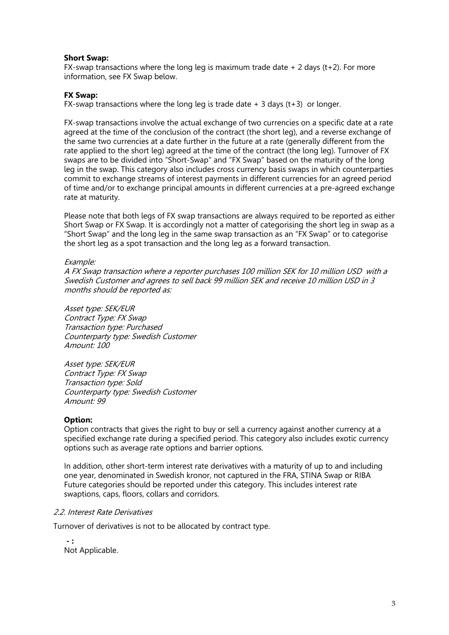### **Short Swap:**

FX-swap transactions where the long leg is maximum trade date  $+2$  days (t+2). For more information, see FX Swap below.

### **FX Swap:**

FX-swap transactions where the long leg is trade date  $+3$  days (t+3) or longer.

FX-swap transactions involve the actual exchange of two currencies on a specific date at a rate agreed at the time of the conclusion of the contract (the short leg), and a reverse exchange of the same two currencies at a date further in the future at a rate (generally different from the rate applied to the short leg) agreed at the time of the contract (the long leg). Turnover of FX swaps are to be divided into "Short-Swap" and "FX Swap" based on the maturity of the long leg in the swap. This category also includes cross currency basis swaps in which counterparties commit to exchange streams of interest payments in different currencies for an agreed period of time and/or to exchange principal amounts in different currencies at a pre-agreed exchange rate at maturity.

Please note that both legs of FX swap transactions are always required to be reported as either Short Swap or FX Swap. It is accordingly not a matter of categorising the short leg in swap as a "Short Swap" and the long leg in the same swap transaction as an "FX Swap" or to categorise the short leg as a spot transaction and the long leg as a forward transaction.

### Example:

A FX Swap transaction where a reporter purchases 100 million SEK for 10 million USD with a Swedish Customer and agrees to sell back 99 million SEK and receive 10 million USD in 3 months should be reported as:

Asset type: SEK/EUR Contract Type: FX Swap Transaction type: Purchased Counterparty type: Swedish Customer Amount: 100

Asset type: SEK/EUR Contract Type: FX Swap Transaction type: Sold Counterparty type: Swedish Customer Amount: 99

### **Option:**

Option contracts that gives the right to buy or sell a currency against another currency at a specified exchange rate during a specified period. This category also includes exotic currency options such as average rate options and barrier options.

In addition, other short-term interest rate derivatives with a maturity of up to and including one year, denominated in Swedish kronor, not captured in the FRA, STINA Swap or RIBA Future categories should be reported under this category. This includes interest rate swaptions, caps, floors, collars and corridors.

### <span id="page-2-0"></span>2.2. Interest Rate Derivatives

Turnover of derivatives is not to be allocated by contract type.

**- :** Not Applicable.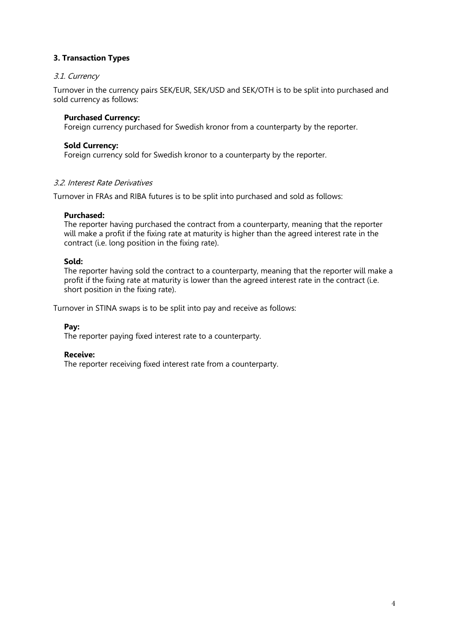### <span id="page-3-0"></span>**3. Transaction Types**

### <span id="page-3-1"></span>3.1. Currency

Turnover in the currency pairs SEK/EUR, SEK/USD and SEK/OTH is to be split into purchased and sold currency as follows:

### **Purchased Currency:**

Foreign currency purchased for Swedish kronor from a counterparty by the reporter.

### **Sold Currency:**

Foreign currency sold for Swedish kronor to a counterparty by the reporter.

### <span id="page-3-2"></span>3.2. Interest Rate Derivatives

Turnover in FRAs and RIBA futures is to be split into purchased and sold as follows:

### **Purchased:**

The reporter having purchased the contract from a counterparty, meaning that the reporter will make a profit if the fixing rate at maturity is higher than the agreed interest rate in the contract (i.e. long position in the fixing rate).

### **Sold:**

The reporter having sold the contract to a counterparty, meaning that the reporter will make a profit if the fixing rate at maturity is lower than the agreed interest rate in the contract (i.e. short position in the fixing rate).

Turnover in STINA swaps is to be split into pay and receive as follows:

**Pay:**

The reporter paying fixed interest rate to a counterparty.

#### **Receive:**

The reporter receiving fixed interest rate from a counterparty.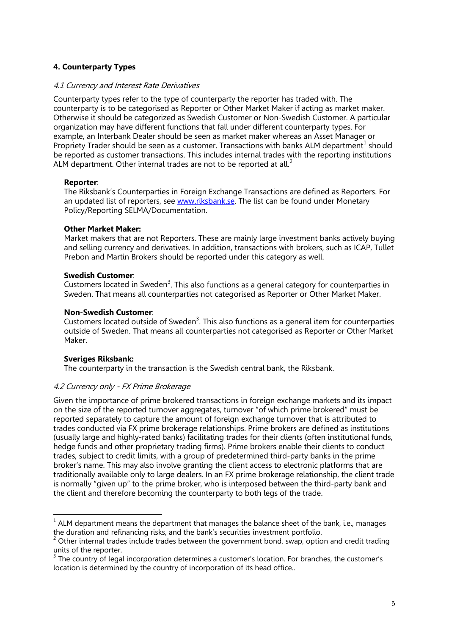## <span id="page-4-0"></span>**4. Counterparty Types**

### <span id="page-4-1"></span>4.1 Currency and Interest Rate Derivatives

Counterparty types refer to the type of counterparty the reporter has traded with. The counterparty is to be categorised as Reporter or Other Market Maker if acting as market maker. Otherwise it should be categorized as Swedish Customer or Non-Swedish Customer. A particular organization may have different functions that fall under different counterparty types. For example, an Interbank Dealer should be seen as market maker whereas an Asset Manager or Propriety Trader should be seen as a customer. Transactions with banks ALM department<sup>[1](#page-4-3)</sup> should be reported as customer transactions. This includes internal trades with the reporting institutions ALM department. Other internal trades are not to be reported at all.<sup>[2](#page-4-4)</sup>

### **Reporter**:

The Riksbank's Counterparties in Foreign Exchange Transactions are defined as Reporters. For an updated list of reporters, see [www.riksbank.se.](http://www.riksbank.se/) The list can be found under Monetary Policy/Reporting SELMA/Documentation.

### **Other Market Maker:**

Market makers that are not Reporters. These are mainly large investment banks actively buying and selling currency and derivatives. In addition, transactions with brokers, such as ICAP, Tullet Prebon and Martin Brokers should be reported under this category as well.

### **Swedish Customer**:

Customers located in Sweden<sup>[3](#page-4-5)</sup>. This also functions as a general category for counterparties in Sweden. That means all counterparties not categorised as Reporter or Other Market Maker.

#### **Non-Swedish Customer**:

Customers located outside of Sweden<sup>3</sup>. This also functions as a general item for counterparties outside of Sweden. That means all counterparties not categorised as Reporter or Other Market Maker.

### **Sveriges Riksbank:**

The counterparty in the transaction is the Swedish central bank, the Riksbank.

### <span id="page-4-2"></span>4.2 Currency only - FX Prime Brokerage

Given the importance of prime brokered transactions in foreign exchange markets and its impact on the size of the reported turnover aggregates, turnover "of which prime brokered" must be reported separately to capture the amount of foreign exchange turnover that is attributed to trades conducted via FX prime brokerage relationships. Prime brokers are defined as institutions (usually large and highly-rated banks) facilitating trades for their clients (often institutional funds, hedge funds and other proprietary trading firms). Prime brokers enable their clients to conduct trades, subject to credit limits, with a group of predetermined third-party banks in the prime broker's name. This may also involve granting the client access to electronic platforms that are traditionally available only to large dealers. In an FX prime brokerage relationship, the client trade is normally "given up" to the prime broker, who is interposed between the third-party bank and the client and therefore becoming the counterparty to both legs of the trade.

<span id="page-4-3"></span> $1$  ALM department means the department that manages the balance sheet of the bank, i.e., manages the duration and refinancing risks, and the bank's securities investment portfolio.

<span id="page-4-4"></span> $2$  Other internal trades include trades between the government bond, swap, option and credit trading units of the reporter.

<span id="page-4-5"></span> $3$  The country of legal incorporation determines a customer's location. For branches, the customer's location is determined by the country of incorporation of its head office..